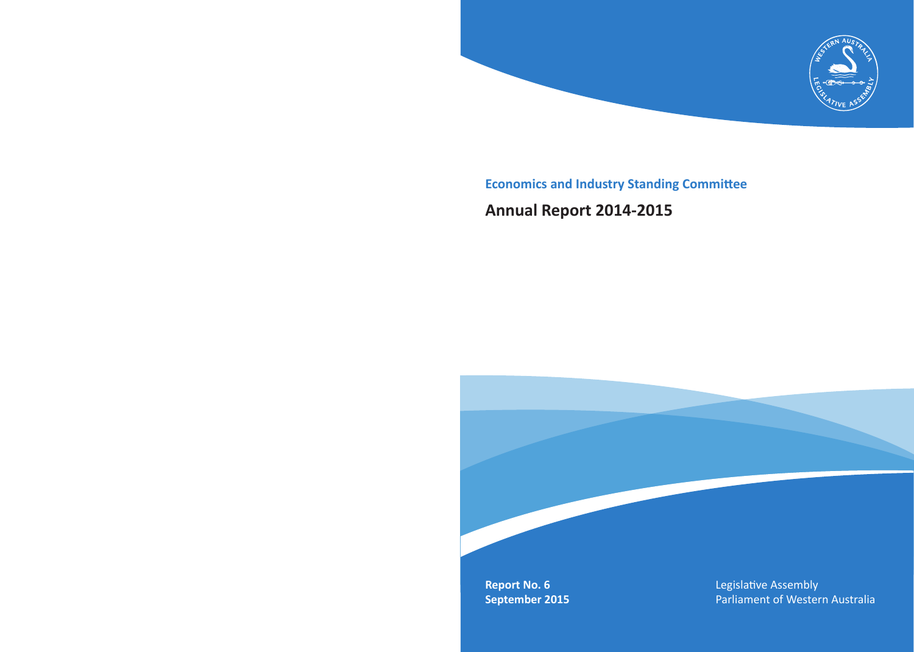

**Economics and Industry Standing Committee**

# **Annual Report 2014-2015**

**Report No. 6 September 2015** Legislative Assembly Parliament of Western Australia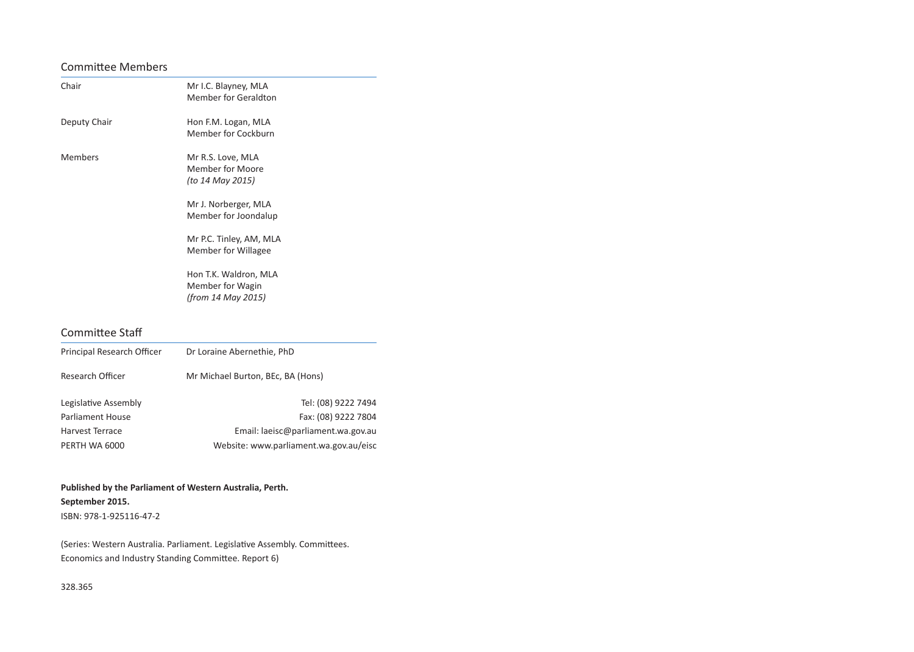### Committee Members

| Chair          | Mr I.C. Blayney, MLA<br><b>Member for Geraldton</b>                                                                                                                                                                            |
|----------------|--------------------------------------------------------------------------------------------------------------------------------------------------------------------------------------------------------------------------------|
| Deputy Chair   | Hon F.M. Logan, MLA<br>Member for Cockburn                                                                                                                                                                                     |
| <b>Members</b> | Mr R.S. Love, MLA<br>Member for Moore<br>(to 14 May 2015)<br>Mr J. Norberger, MLA<br>Member for Joondalup<br>Mr P.C. Tinley, AM, MLA<br>Member for Willagee<br>Hon T.K. Waldron, MLA<br>Member for Wagin<br>(from 14 May 2015) |

### Committee Staff

| Principal Research Officer | Dr Loraine Abernethie, PhD             |
|----------------------------|----------------------------------------|
| Research Officer           | Mr Michael Burton, BEc, BA (Hons)      |
| Legislative Assembly       | Tel: (08) 9222 7494                    |
| <b>Parliament House</b>    | Fax: (08) 9222 7804                    |
| Harvest Terrace            | Email: laeisc@parliament.wa.gov.au     |
| PERTH WA 6000              | Website: www.parliament.wa.gov.au/eisc |

**Published by the Parliament of Western Australia, Perth. September 2015.** ISBN: 978-1-925116-47-2

(Series: Western Australia. Parliament. Legislative Assembly. Committees. Economics and Industry Standing Committee. Report 6)

328.365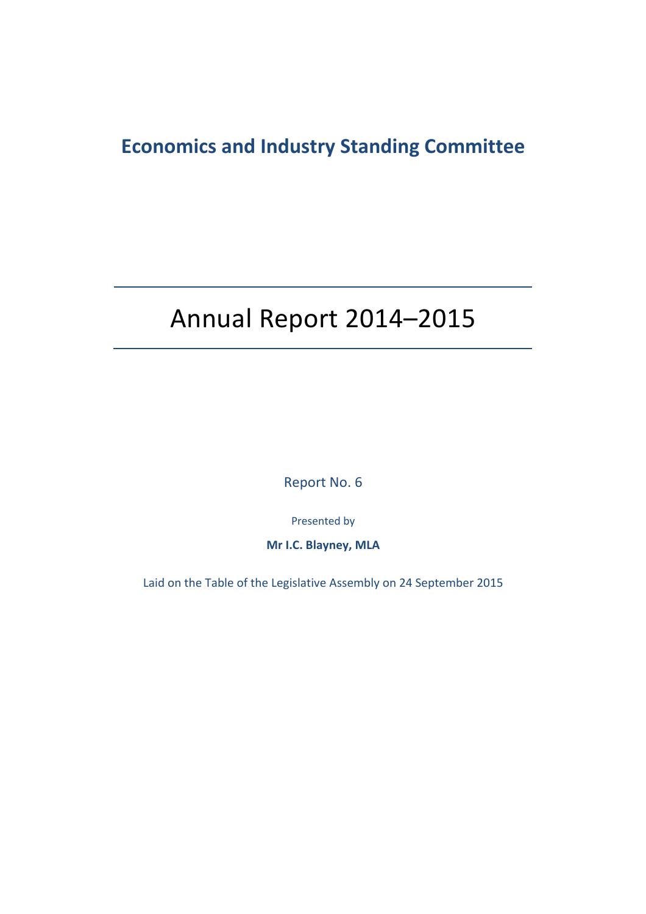# **Economics and Industry Standing Committee**

# Annual Report 2014–2015

Report No. 6

Presented by

**Mr I.C. Blayney, MLA**

Laid on the Table of the Legislative Assembly on 24 September 2015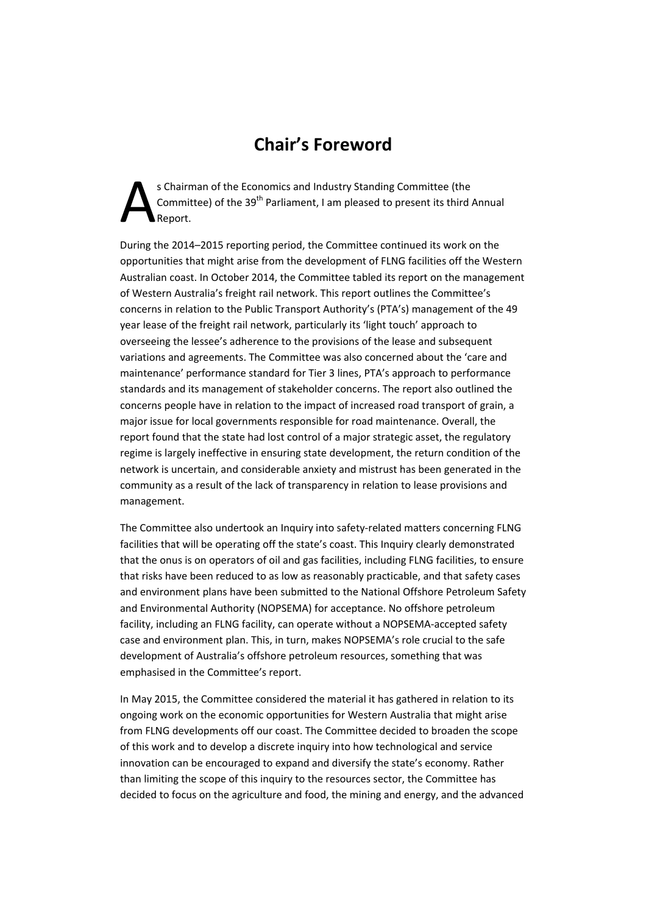# **Chair's Foreword**

s Chairman of the Economics and Industry Standing Committee (the Committee) of the 39<sup>th</sup> Parliament, I am pleased to present its third Annual Report. A

During the 2014–2015 reporting period, the Committee continued its work on the opportunities that might arise from the development of FLNG facilities off the Western Australian coast. In October 2014, the Committee tabled its report on the management of Western Australia's freight rail network. This report outlines the Committee's concerns in relation to the Public Transport Authority's (PTA's) management of the 49 year lease of the freight rail network, particularly its 'light touch' approach to overseeing the lessee's adherence to the provisions of the lease and subsequent variations and agreements. The Committee was also concerned about the 'care and maintenance' performance standard for Tier 3 lines, PTA's approach to performance standards and its management of stakeholder concerns. The report also outlined the concerns people have in relation to the impact of increased road transport of grain, a major issue for local governments responsible for road maintenance. Overall, the report found that the state had lost control of a major strategic asset, the regulatory regime is largely ineffective in ensuring state development, the return condition of the network is uncertain, and considerable anxiety and mistrust has been generated in the community as a result of the lack of transparency in relation to lease provisions and management.

The Committee also undertook an Inquiry into safety-related matters concerning FLNG facilities that will be operating off the state's coast. This Inquiry clearly demonstrated that the onus is on operators of oil and gas facilities, including FLNG facilities, to ensure that risks have been reduced to as low as reasonably practicable, and that safety cases and environment plans have been submitted to the National Offshore Petroleum Safety and Environmental Authority (NOPSEMA) for acceptance. No offshore petroleum facility, including an FLNG facility, can operate without a NOPSEMA‐accepted safety case and environment plan. This, in turn, makes NOPSEMA's role crucial to the safe development of Australia's offshore petroleum resources, something that was emphasised in the Committee's report.

In May 2015, the Committee considered the material it has gathered in relation to its ongoing work on the economic opportunities for Western Australia that might arise from FLNG developments off our coast. The Committee decided to broaden the scope of this work and to develop a discrete inquiry into how technological and service innovation can be encouraged to expand and diversify the state's economy. Rather than limiting the scope of this inquiry to the resources sector, the Committee has decided to focus on the agriculture and food, the mining and energy, and the advanced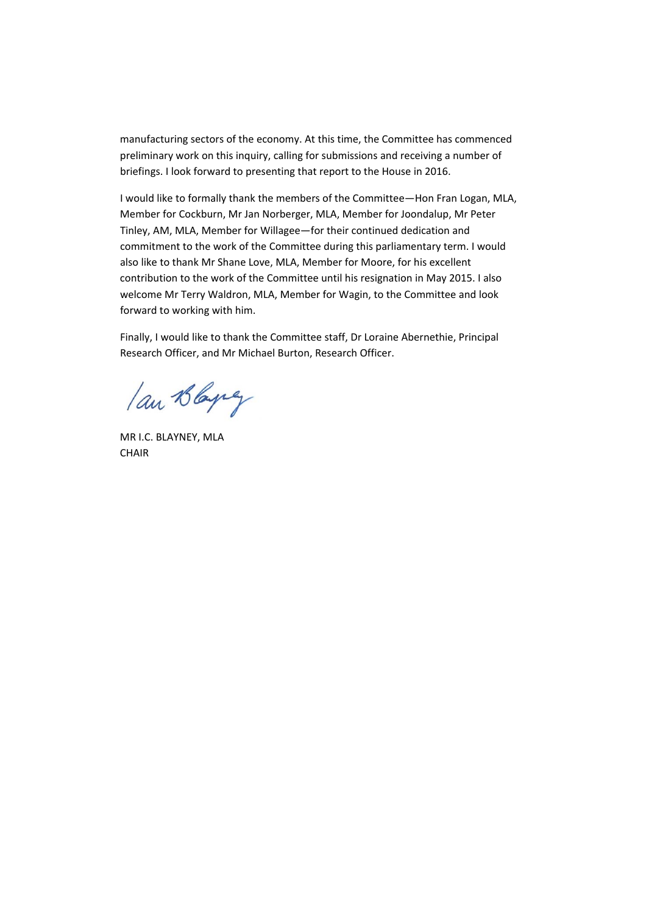manufacturing sectors of the economy. At this time, the Committee has commenced preliminary work on this inquiry, calling for submissions and receiving a number of briefings. I look forward to presenting that report to the House in 2016.

I would like to formally thank the members of the Committee—Hon Fran Logan, MLA, Member for Cockburn, Mr Jan Norberger, MLA, Member for Joondalup, Mr Peter Tinley, AM, MLA, Member for Willagee—for their continued dedication and commitment to the work of the Committee during this parliamentary term. I would also like to thank Mr Shane Love, MLA, Member for Moore, for his excellent contribution to the work of the Committee until his resignation in May 2015. I also welcome Mr Terry Waldron, MLA, Member for Wagin, to the Committee and look forward to working with him.

Finally, I would like to thank the Committee staff, Dr Loraine Abernethie, Principal Research Officer, and Mr Michael Burton, Research Officer.

lan Blaying

MR I.C. BLAYNEY, MLA **CHAIR**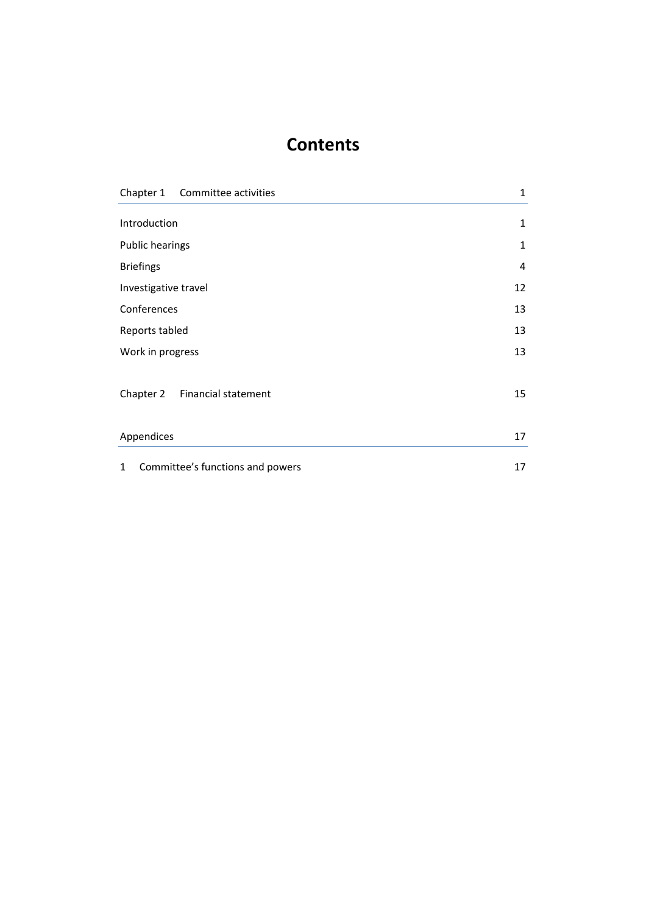### **Contents**

|                        | Chapter 1 Committee activities   | 1  |
|------------------------|----------------------------------|----|
| Introduction           |                                  | 1  |
| <b>Public hearings</b> |                                  | 1  |
| <b>Briefings</b>       |                                  | 4  |
| Investigative travel   |                                  | 12 |
| Conferences            |                                  | 13 |
| Reports tabled         |                                  | 13 |
| Work in progress       |                                  | 13 |
|                        | Chapter 2 Financial statement    | 15 |
| Appendices             |                                  | 17 |
| $\mathbf{1}$           | Committee's functions and powers | 17 |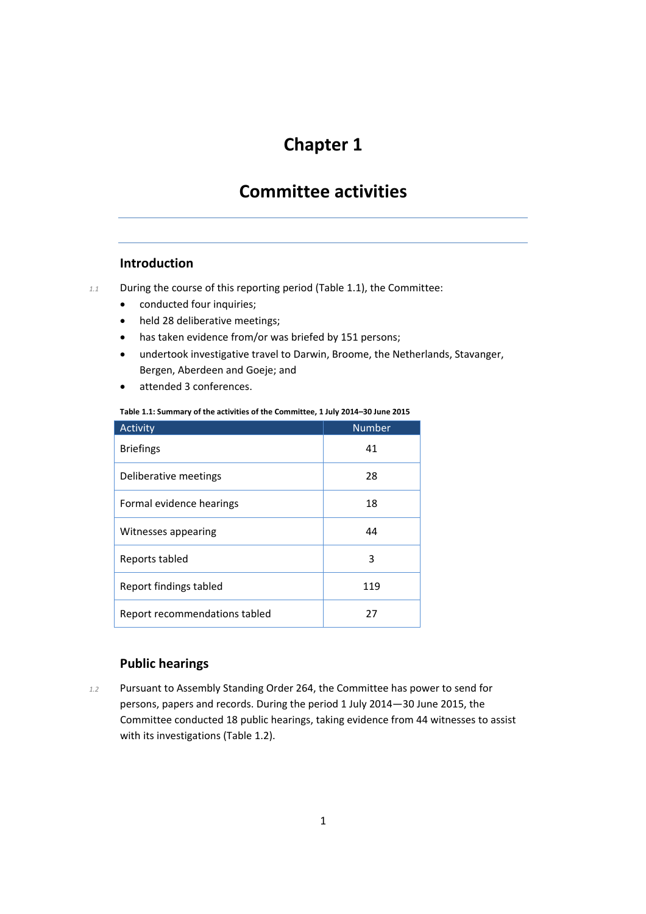### **Committee activities**

#### **Introduction**

- *1.1* During the course of this reporting period (Table 1.1), the Committee:
	- conducted four inquiries;
	- held 28 deliberative meetings;
	- has taken evidence from/or was briefed by 151 persons;
	- undertook investigative travel to Darwin, Broome, the Netherlands, Stavanger, Bergen, Aberdeen and Goeje; and
	- attended 3 conferences.

#### **Table 1.1: Summary of the activities of the Committee, 1 July 2014–30 June 2015**

| Activity                      | <b>Number</b> |
|-------------------------------|---------------|
| <b>Briefings</b>              | 41            |
| Deliberative meetings         | 28            |
| Formal evidence hearings      | 18            |
| Witnesses appearing           | 44            |
| Reports tabled                | 3             |
| Report findings tabled        | 119           |
| Report recommendations tabled | 27            |

#### **Public hearings**

*1.2* Pursuant to Assembly Standing Order 264, the Committee has power to send for persons, papers and records. During the period 1 July 2014—30 June 2015, the Committee conducted 18 public hearings, taking evidence from 44 witnesses to assist with its investigations (Table 1.2).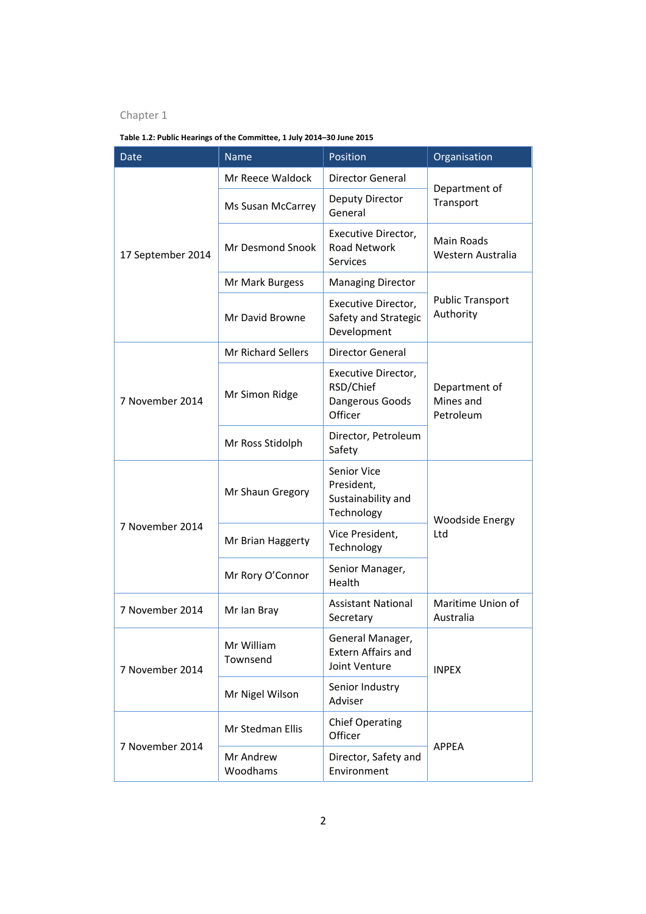**Table 1.2: Public Hearings of the Committee, 1 July 2014–30 June 2015**

| <b>Date</b>       | <b>Name</b>               | Position                                                             | Organisation                            |
|-------------------|---------------------------|----------------------------------------------------------------------|-----------------------------------------|
|                   | Mr Reece Waldock          | Director General                                                     | Department of                           |
| 17 September 2014 | Ms Susan McCarrey         | Deputy Director<br>General                                           | Transport                               |
|                   | Mr Desmond Snook          | Executive Director,<br><b>Road Network</b><br><b>Services</b>        | <b>Main Roads</b><br>Western Australia  |
|                   | Mr Mark Burgess           | <b>Managing Director</b>                                             |                                         |
|                   | Mr David Browne           | Executive Director,<br>Safety and Strategic<br>Development           | <b>Public Transport</b><br>Authority    |
|                   | <b>Mr Richard Sellers</b> | Director General                                                     |                                         |
| 7 November 2014   | Mr Simon Ridge            | Executive Director,<br>RSD/Chief<br>Dangerous Goods<br>Officer       | Department of<br>Mines and<br>Petroleum |
|                   | Mr Ross Stidolph          | Director, Petroleum<br>Safety                                        |                                         |
|                   | Mr Shaun Gregory          | <b>Senior Vice</b><br>President,<br>Sustainability and<br>Technology | <b>Woodside Energy</b><br>Ltd           |
| 7 November 2014   | Mr Brian Haggerty         | Vice President,<br>Technology                                        |                                         |
|                   | Mr Rory O'Connor          | Senior Manager,<br>Health                                            |                                         |
| 7 November 2014   | Mr Ian Bray               | <b>Assistant National</b><br>Secretary                               | Maritime Union of<br>Australia          |
| 7 November 2014   | Mr William<br>Townsend    | General Manager,<br><b>Extern Affairs and</b><br>Joint Venture       | <b>INPEX</b>                            |
|                   | Mr Nigel Wilson           | Senior Industry<br>Adviser                                           |                                         |
| 7 November 2014   | Mr Stedman Ellis          | <b>Chief Operating</b><br>Officer                                    |                                         |
|                   | Mr Andrew<br>Woodhams     | Director, Safety and<br>Environment                                  | <b>APPEA</b>                            |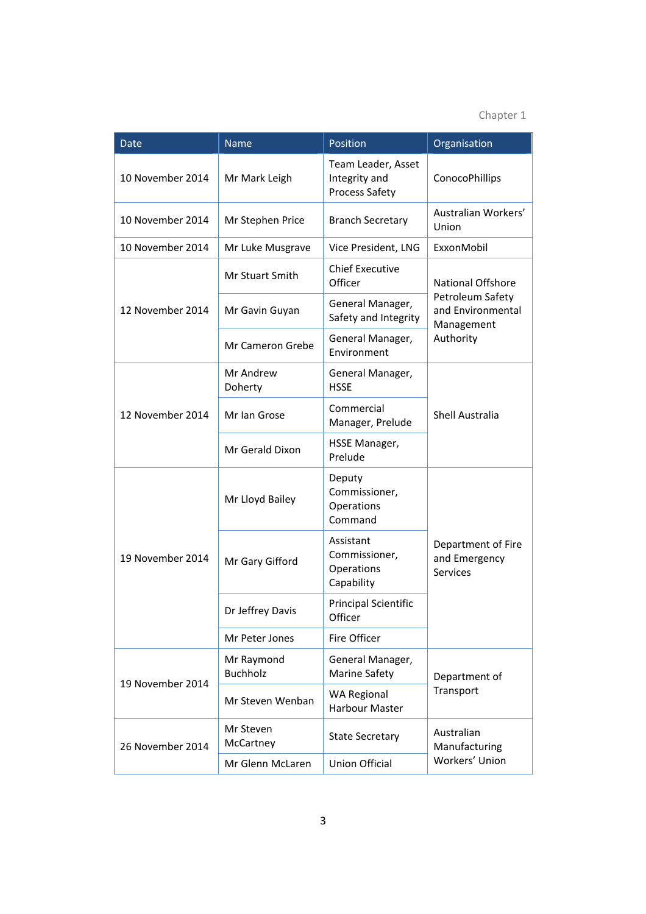| Date             | <b>Name</b>                   | Position                                                     | Organisation                                           |
|------------------|-------------------------------|--------------------------------------------------------------|--------------------------------------------------------|
| 10 November 2014 | Mr Mark Leigh                 | Team Leader, Asset<br>Integrity and<br><b>Process Safety</b> | ConocoPhillips                                         |
| 10 November 2014 | Mr Stephen Price              | <b>Branch Secretary</b>                                      | Australian Workers'<br>Union                           |
| 10 November 2014 | Mr Luke Musgrave              | Vice President, LNG                                          | ExxonMobil                                             |
|                  | Mr Stuart Smith               | <b>Chief Executive</b><br>Officer                            | <b>National Offshore</b>                               |
| 12 November 2014 | Mr Gavin Guyan                | General Manager,<br>Safety and Integrity                     | Petroleum Safety<br>and Environmental<br>Management    |
|                  | <b>Mr Cameron Grebe</b>       | General Manager,<br>Environment                              | Authority                                              |
|                  | Mr Andrew<br>Doherty          | General Manager,<br><b>HSSE</b>                              |                                                        |
| 12 November 2014 | Mr Ian Grose                  | Commercial<br>Manager, Prelude                               | Shell Australia                                        |
|                  | Mr Gerald Dixon               | HSSE Manager,<br>Prelude                                     |                                                        |
| 19 November 2014 | Mr Lloyd Bailey               | Deputy<br>Commissioner,<br>Operations<br>Command             | Department of Fire<br>and Emergency<br><b>Services</b> |
|                  | Mr Gary Gifford               | Assistant<br>Commissioner,<br>Operations<br>Capability       |                                                        |
|                  | Dr Jeffrey Davis              | <b>Principal Scientific</b><br>Officer                       |                                                        |
|                  | Mr Peter Jones                | Fire Officer                                                 |                                                        |
| 19 November 2014 | Mr Raymond<br><b>Buchholz</b> | General Manager,<br>Marine Safety                            | Department of                                          |
|                  | Mr Steven Wenban              | <b>WA Regional</b><br><b>Harbour Master</b>                  | Transport                                              |
| 26 November 2014 | Mr Steven<br>McCartney        | <b>State Secretary</b>                                       | Australian<br>Manufacturing                            |
|                  | Mr Glenn McLaren              | <b>Union Official</b>                                        | Workers' Union                                         |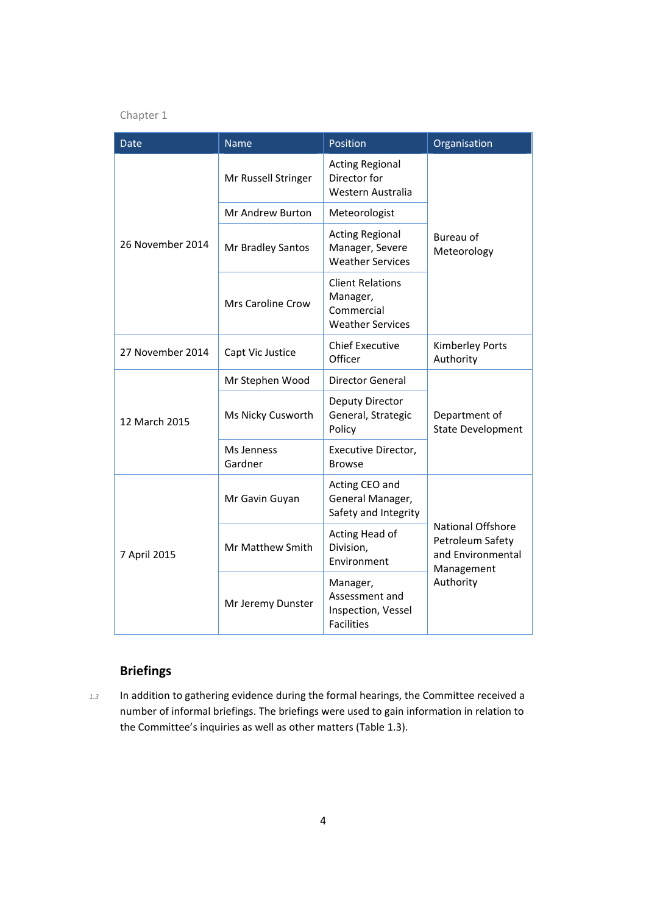| <b>Date</b>      | <b>Name</b>              | Position                                                                     | Organisation                                                                                 |
|------------------|--------------------------|------------------------------------------------------------------------------|----------------------------------------------------------------------------------------------|
|                  | Mr Russell Stringer      | <b>Acting Regional</b><br>Director for<br>Western Australia                  | Bureau of<br>Meteorology                                                                     |
|                  | Mr Andrew Burton         | Meteorologist                                                                |                                                                                              |
| 26 November 2014 | Mr Bradley Santos        | <b>Acting Regional</b><br>Manager, Severe<br><b>Weather Services</b>         |                                                                                              |
|                  | <b>Mrs Caroline Crow</b> | <b>Client Relations</b><br>Manager,<br>Commercial<br><b>Weather Services</b> |                                                                                              |
| 27 November 2014 | Capt Vic Justice         | <b>Chief Executive</b><br>Officer                                            | Kimberley Ports<br>Authority                                                                 |
|                  | Mr Stephen Wood          | Director General                                                             |                                                                                              |
| 12 March 2015    | Ms Nicky Cusworth        | Deputy Director<br>General, Strategic<br>Policy                              | Department of<br><b>State Development</b>                                                    |
|                  | Ms Jenness<br>Gardner    | Executive Director,<br><b>Browse</b>                                         |                                                                                              |
| 7 April 2015     | Mr Gavin Guyan           | Acting CEO and<br>General Manager,<br>Safety and Integrity                   | <b>National Offshore</b><br>Petroleum Safety<br>and Environmental<br>Management<br>Authority |
|                  | Mr Matthew Smith         | Acting Head of<br>Division,<br>Environment                                   |                                                                                              |
|                  | Mr Jeremy Dunster        | Manager,<br>Assessment and<br>Inspection, Vessel<br><b>Facilities</b>        |                                                                                              |

### **Briefings**

*1.3* In addition to gathering evidence during the formal hearings, the Committee received a number of informal briefings. The briefings were used to gain information in relation to the Committee's inquiries as well as other matters (Table 1.3).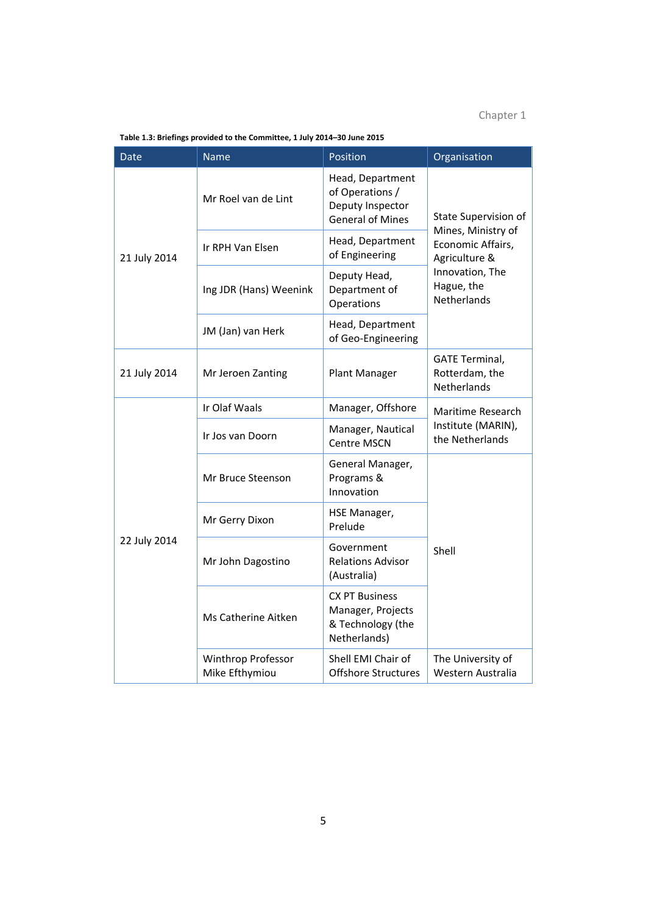| Date         | <b>Name</b>                          | Position                                                                           | Organisation                                                                                                                     |
|--------------|--------------------------------------|------------------------------------------------------------------------------------|----------------------------------------------------------------------------------------------------------------------------------|
| 21 July 2014 | Mr Roel van de Lint                  | Head, Department<br>of Operations /<br>Deputy Inspector<br><b>General of Mines</b> | State Supervision of<br>Mines, Ministry of<br>Economic Affairs,<br>Agriculture &<br>Innovation, The<br>Hague, the<br>Netherlands |
|              | Ir RPH Van Elsen                     | Head, Department<br>of Engineering                                                 |                                                                                                                                  |
|              | Ing JDR (Hans) Weenink               | Deputy Head,<br>Department of<br>Operations                                        |                                                                                                                                  |
|              | JM (Jan) van Herk                    | Head, Department<br>of Geo-Engineering                                             |                                                                                                                                  |
| 21 July 2014 | Mr Jeroen Zanting                    | Plant Manager                                                                      | <b>GATE Terminal,</b><br>Rotterdam, the<br>Netherlands                                                                           |
|              | Ir Olaf Waals                        | Manager, Offshore                                                                  | Maritime Research<br>Institute (MARIN),<br>the Netherlands                                                                       |
|              | Ir Jos van Doorn                     | Manager, Nautical<br><b>Centre MSCN</b>                                            |                                                                                                                                  |
|              | Mr Bruce Steenson                    | General Manager,<br>Programs &<br>Innovation                                       |                                                                                                                                  |
|              | Mr Gerry Dixon                       | HSE Manager,<br>Prelude                                                            |                                                                                                                                  |
| 22 July 2014 | Mr John Dagostino                    | Government<br><b>Relations Advisor</b><br>(Australia)                              | Shell                                                                                                                            |
|              | Ms Catherine Aitken                  | <b>CX PT Business</b><br>Manager, Projects<br>& Technology (the<br>Netherlands)    |                                                                                                                                  |
|              | Winthrop Professor<br>Mike Efthymiou | Shell EMI Chair of<br><b>Offshore Structures</b>                                   | The University of<br>Western Australia                                                                                           |

**Table 1.3: Briefings provided to the Committee, 1 July 2014–30 June 2015**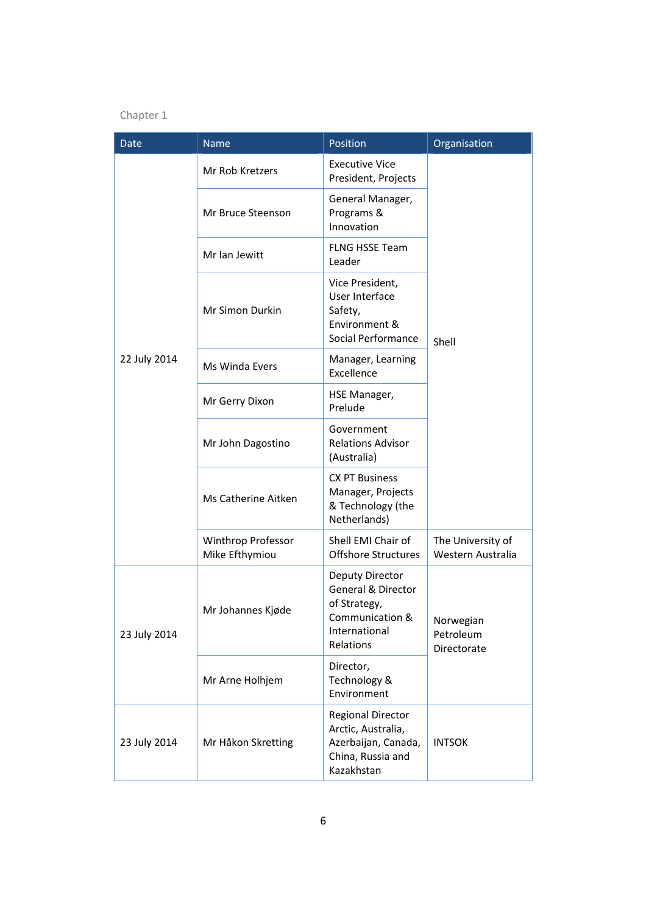| Date         | Name                                 | Position                                                                                                 | Organisation                           |
|--------------|--------------------------------------|----------------------------------------------------------------------------------------------------------|----------------------------------------|
|              | Mr Rob Kretzers                      | <b>Executive Vice</b><br>President, Projects                                                             |                                        |
|              | Mr Bruce Steenson                    | General Manager,<br>Programs &<br>Innovation                                                             |                                        |
|              | Mr Ian Jewitt                        | <b>FLNG HSSE Team</b><br>Leader                                                                          |                                        |
|              | Mr Simon Durkin                      | Vice President,<br>User Interface<br>Safety,<br>Environment &<br>Social Performance                      | Shell                                  |
| 22 July 2014 | Ms Winda Evers                       | Manager, Learning<br>Excellence                                                                          |                                        |
|              | Mr Gerry Dixon                       | HSE Manager,<br>Prelude                                                                                  |                                        |
|              | Mr John Dagostino                    | Government<br><b>Relations Advisor</b><br>(Australia)                                                    |                                        |
|              | Ms Catherine Aitken                  | <b>CX PT Business</b><br>Manager, Projects<br>& Technology (the<br>Netherlands)                          |                                        |
|              | Winthrop Professor<br>Mike Efthymiou | Shell EMI Chair of<br><b>Offshore Structures</b>                                                         | The University of<br>Western Australia |
| 23 July 2014 | Mr Johannes Kjøde                    | Deputy Director<br>General & Director<br>of Strategy,<br>Communication &<br>International<br>Relations   | Norwegian<br>Petroleum<br>Directorate  |
|              | Mr Arne Holhjem                      | Director,<br>Technology &<br>Environment                                                                 |                                        |
| 23 July 2014 | Mr Håkon Skretting                   | <b>Regional Director</b><br>Arctic, Australia,<br>Azerbaijan, Canada,<br>China, Russia and<br>Kazakhstan | <b>INTSOK</b>                          |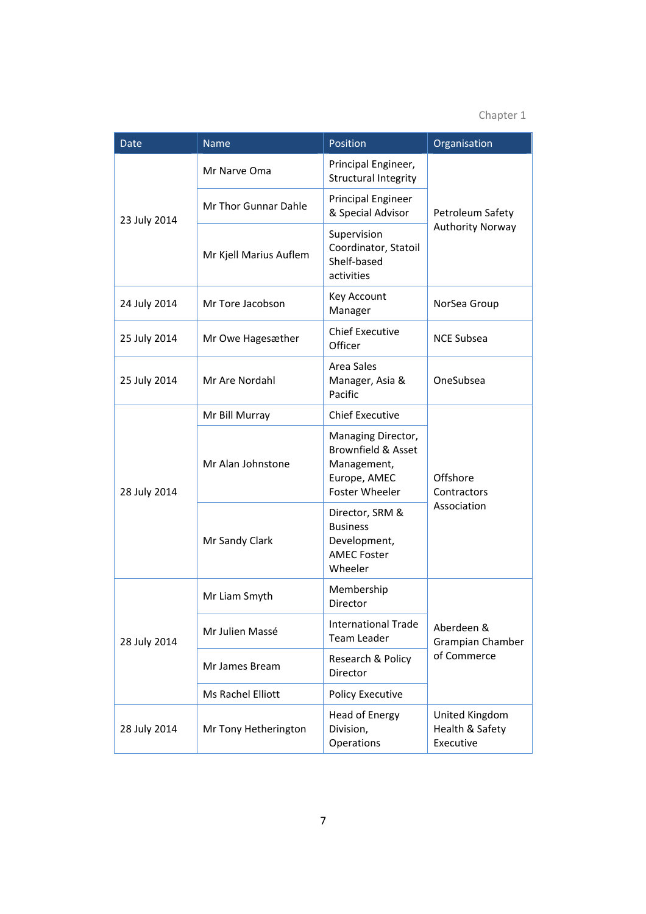| <b>Date</b>  | <b>Name</b>            | Position                                                                                             | Organisation                                   |
|--------------|------------------------|------------------------------------------------------------------------------------------------------|------------------------------------------------|
|              | Mr Narve Oma           | Principal Engineer,<br><b>Structural Integrity</b>                                                   | Petroleum Safety<br><b>Authority Norway</b>    |
| 23 July 2014 | Mr Thor Gunnar Dahle   | <b>Principal Engineer</b><br>& Special Advisor                                                       |                                                |
|              | Mr Kjell Marius Auflem | Supervision<br>Coordinator, Statoil<br>Shelf-based<br>activities                                     |                                                |
| 24 July 2014 | Mr Tore Jacobson       | Key Account<br>Manager                                                                               | NorSea Group                                   |
| 25 July 2014 | Mr Owe Hagesæther      | <b>Chief Executive</b><br>Officer                                                                    | <b>NCE Subsea</b>                              |
| 25 July 2014 | Mr Are Nordahl         | <b>Area Sales</b><br>Manager, Asia &<br>Pacific                                                      | OneSubsea                                      |
|              | Mr Bill Murray         | <b>Chief Executive</b>                                                                               | Offshore<br>Contractors<br>Association         |
| 28 July 2014 | Mr Alan Johnstone      | Managing Director,<br><b>Brownfield &amp; Asset</b><br>Management,<br>Europe, AMEC<br>Foster Wheeler |                                                |
|              | Mr Sandy Clark         | Director, SRM &<br><b>Business</b><br>Development,<br><b>AMEC Foster</b><br>Wheeler                  |                                                |
| 28 July 2014 | Mr Liam Smyth          | Membership<br>Director                                                                               | Aberdeen &<br>Grampian Chamber<br>of Commerce  |
|              | Mr Julien Massé        | <b>International Trade</b><br><b>Team Leader</b>                                                     |                                                |
|              | Mr James Bream         | Research & Policy<br>Director                                                                        |                                                |
|              | Ms Rachel Elliott      | Policy Executive                                                                                     |                                                |
| 28 July 2014 | Mr Tony Hetherington   | Head of Energy<br>Division,<br>Operations                                                            | United Kingdom<br>Health & Safety<br>Executive |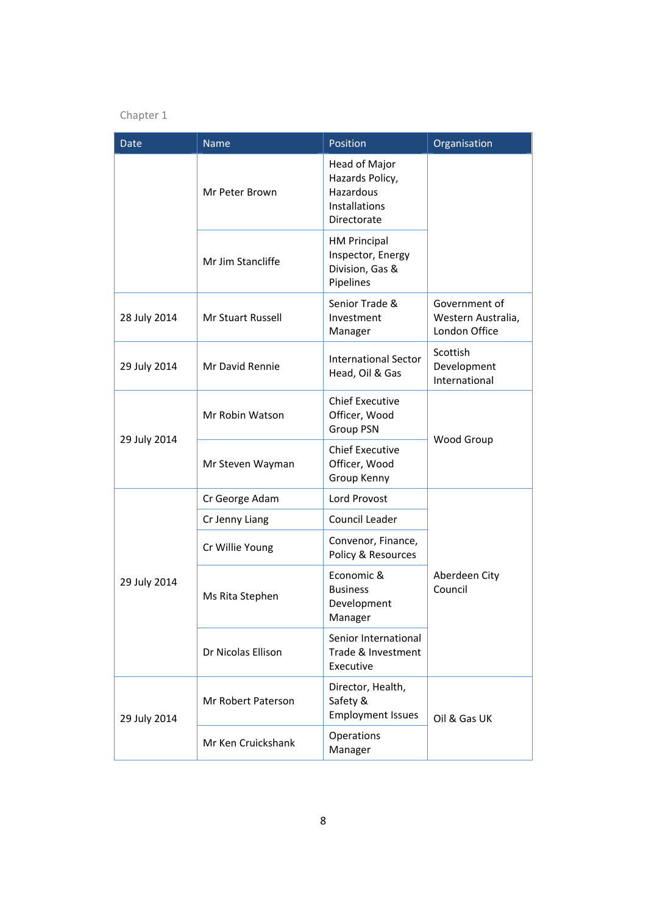| Date         | <b>Name</b>              | Position                                                                             | Organisation                                         |
|--------------|--------------------------|--------------------------------------------------------------------------------------|------------------------------------------------------|
|              | Mr Peter Brown           | Head of Major<br>Hazards Policy,<br>Hazardous<br><b>Installations</b><br>Directorate |                                                      |
|              | Mr Jim Stancliffe        | <b>HM Principal</b><br>Inspector, Energy<br>Division, Gas &<br>Pipelines             |                                                      |
| 28 July 2014 | <b>Mr Stuart Russell</b> | Senior Trade &<br>Investment<br>Manager                                              | Government of<br>Western Australia,<br>London Office |
| 29 July 2014 | Mr David Rennie          | <b>International Sector</b><br>Head, Oil & Gas                                       | Scottish<br>Development<br>International             |
| 29 July 2014 | Mr Robin Watson          | <b>Chief Executive</b><br>Officer, Wood<br>Group PSN                                 |                                                      |
|              | Mr Steven Wayman         | <b>Chief Executive</b><br>Officer, Wood<br>Group Kenny                               | Wood Group                                           |
|              | Cr George Adam           | Lord Provost                                                                         |                                                      |
|              | Cr Jenny Liang           | Council Leader                                                                       |                                                      |
| 29 July 2014 | Cr Willie Young          | Convenor, Finance,<br>Policy & Resources                                             |                                                      |
|              | Ms Rita Stephen          | Economic &<br><b>Business</b><br>Development<br>Manager                              | Aberdeen City<br>Council                             |
|              | Dr Nicolas Ellison       | Senior International<br>Trade & Investment<br>Executive                              |                                                      |
| 29 July 2014 | Mr Robert Paterson       | Director, Health,<br>Safety &<br><b>Employment Issues</b>                            | Oil & Gas UK                                         |
|              | Mr Ken Cruickshank       | Operations<br>Manager                                                                |                                                      |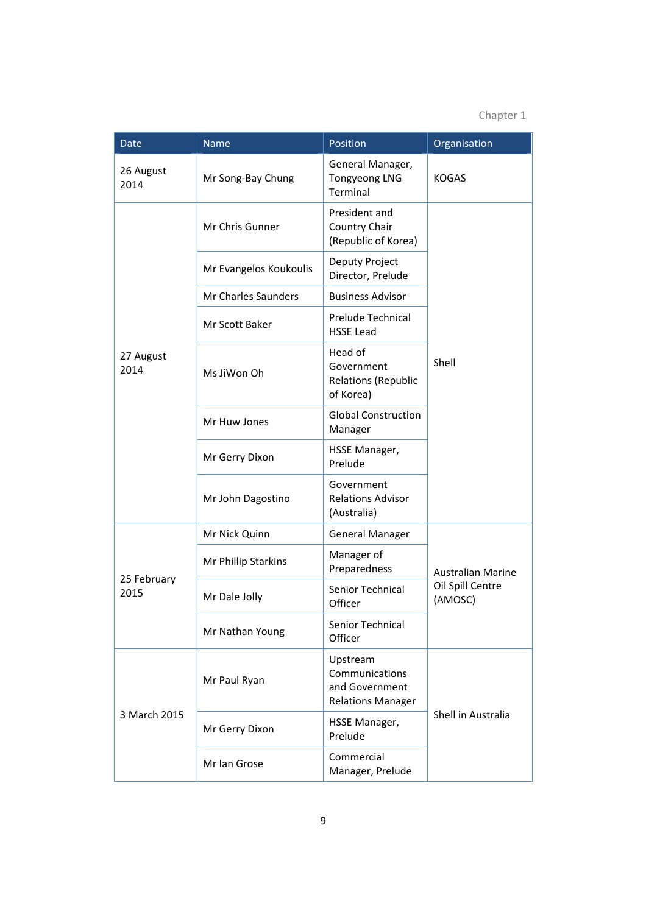| <b>Date</b>         | <b>Name</b>            | Position                                                                 | Organisation                                            |
|---------------------|------------------------|--------------------------------------------------------------------------|---------------------------------------------------------|
| 26 August<br>2014   | Mr Song-Bay Chung      | General Manager,<br><b>Tongyeong LNG</b><br>Terminal                     | <b>KOGAS</b>                                            |
|                     | Mr Chris Gunner        | President and<br>Country Chair<br>(Republic of Korea)                    |                                                         |
|                     | Mr Evangelos Koukoulis | Deputy Project<br>Director, Prelude                                      |                                                         |
|                     | Mr Charles Saunders    | <b>Business Advisor</b>                                                  |                                                         |
|                     | Mr Scott Baker         | Prelude Technical<br><b>HSSE Lead</b>                                    |                                                         |
| 27 August<br>2014   | Ms JiWon Oh            | Head of<br>Government<br><b>Relations (Republic</b><br>of Korea)         | Shell                                                   |
|                     | Mr Huw Jones           | <b>Global Construction</b><br>Manager                                    |                                                         |
|                     | Mr Gerry Dixon         | HSSE Manager,<br>Prelude                                                 |                                                         |
|                     | Mr John Dagostino      | Government<br><b>Relations Advisor</b><br>(Australia)                    |                                                         |
| 25 February<br>2015 | Mr Nick Quinn          | <b>General Manager</b>                                                   |                                                         |
|                     | Mr Phillip Starkins    | Manager of<br>Preparedness                                               | <b>Australian Marine</b><br>Oil Spill Centre<br>(AMOSC) |
|                     | Mr Dale Jolly          | Senior Technical<br>Officer                                              |                                                         |
|                     | Mr Nathan Young        | Senior Technical<br>Officer                                              |                                                         |
| 3 March 2015        | Mr Paul Ryan           | Upstream<br>Communications<br>and Government<br><b>Relations Manager</b> |                                                         |
|                     | Mr Gerry Dixon         | HSSE Manager,<br>Prelude                                                 | Shell in Australia                                      |
|                     | Mr Ian Grose           | Commercial<br>Manager, Prelude                                           |                                                         |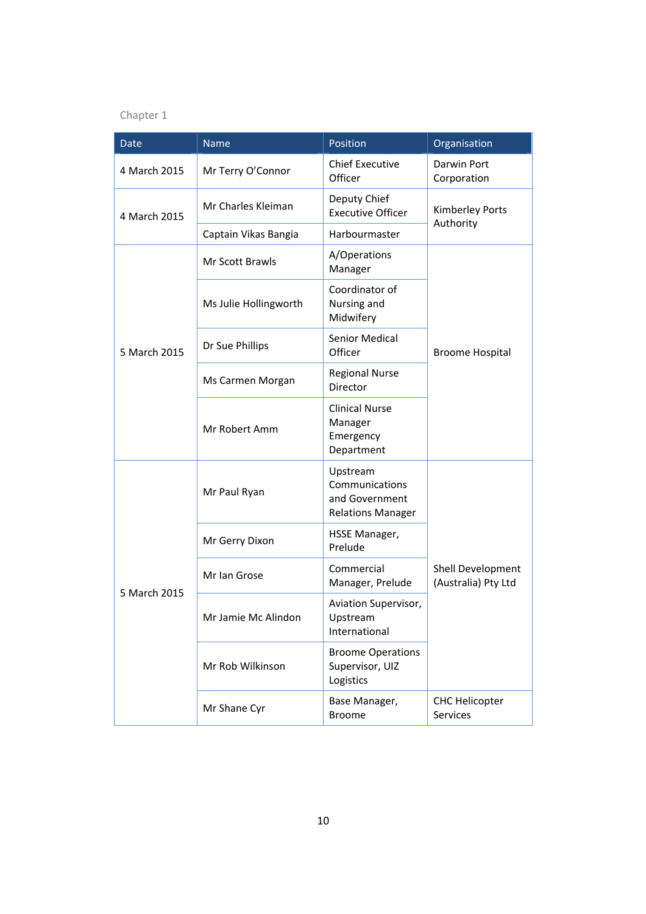| Date         | <b>Name</b>           | Position                                                                 | Organisation                             |  |
|--------------|-----------------------|--------------------------------------------------------------------------|------------------------------------------|--|
| 4 March 2015 | Mr Terry O'Connor     | <b>Chief Executive</b><br>Officer                                        | <b>Darwin Port</b><br>Corporation        |  |
| 4 March 2015 | Mr Charles Kleiman    | Deputy Chief<br><b>Executive Officer</b>                                 | Kimberley Ports<br>Authority             |  |
|              | Captain Vikas Bangia  | Harbourmaster                                                            |                                          |  |
| 5 March 2015 | Mr Scott Brawls       | A/Operations<br>Manager                                                  |                                          |  |
|              | Ms Julie Hollingworth | Coordinator of<br>Nursing and<br>Midwifery                               |                                          |  |
|              | Dr Sue Phillips       | <b>Senior Medical</b><br>Officer                                         | <b>Broome Hospital</b>                   |  |
|              | Ms Carmen Morgan      | <b>Regional Nurse</b><br>Director                                        |                                          |  |
|              | Mr Robert Amm         | <b>Clinical Nurse</b><br>Manager<br>Emergency<br>Department              |                                          |  |
| 5 March 2015 | Mr Paul Ryan          | Upstream<br>Communications<br>and Government<br><b>Relations Manager</b> |                                          |  |
|              | Mr Gerry Dixon        | HSSE Manager,<br>Prelude                                                 |                                          |  |
|              | Mr Ian Grose          | Commercial<br>Manager, Prelude                                           | Shell Development<br>(Australia) Pty Ltd |  |
|              | Mr Jamie Mc Alindon   | Aviation Supervisor,<br>Upstream<br>International                        |                                          |  |
|              | Mr Rob Wilkinson      | <b>Broome Operations</b><br>Supervisor, UIZ<br>Logistics                 |                                          |  |
|              | Mr Shane Cyr          | Base Manager,<br><b>Broome</b>                                           | <b>CHC Helicopter</b><br>Services        |  |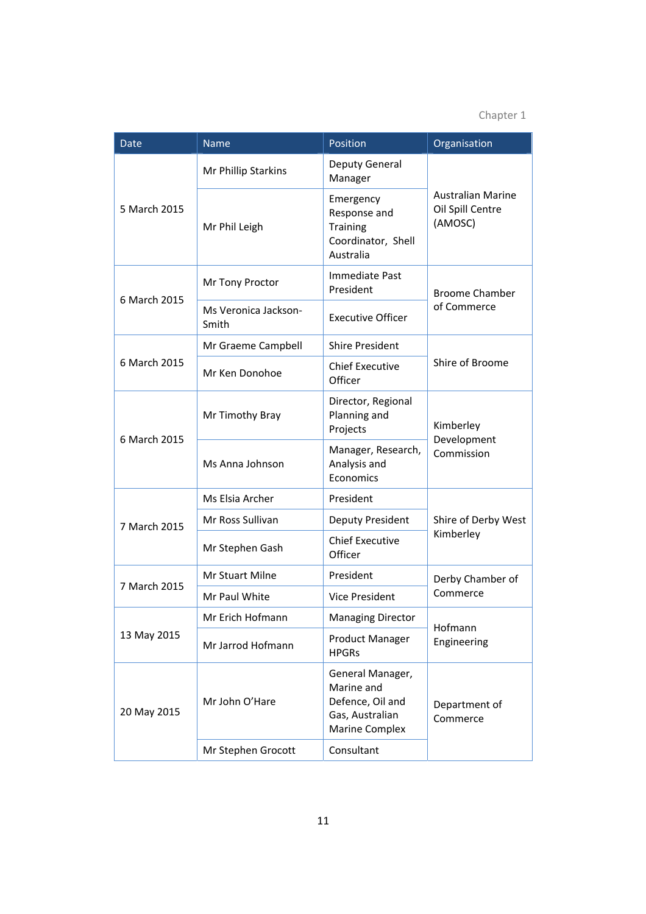| <b>Date</b>  | <b>Name</b>                   | Position                                                                                | Organisation                                            |  |
|--------------|-------------------------------|-----------------------------------------------------------------------------------------|---------------------------------------------------------|--|
| 5 March 2015 | Mr Phillip Starkins           | Deputy General<br>Manager                                                               |                                                         |  |
|              | Mr Phil Leigh                 | Emergency<br>Response and<br><b>Training</b><br>Coordinator, Shell<br>Australia         | <b>Australian Marine</b><br>Oil Spill Centre<br>(AMOSC) |  |
| 6 March 2015 | Mr Tony Proctor               | Immediate Past<br>President                                                             | <b>Broome Chamber</b>                                   |  |
|              | Ms Veronica Jackson-<br>Smith | <b>Executive Officer</b>                                                                | of Commerce                                             |  |
|              | Mr Graeme Campbell            | <b>Shire President</b>                                                                  | Shire of Broome                                         |  |
| 6 March 2015 | Mr Ken Donohoe                | <b>Chief Executive</b><br>Officer                                                       |                                                         |  |
| 6 March 2015 | Mr Timothy Bray               | Director, Regional<br>Planning and<br>Projects                                          | Kimberley                                               |  |
|              | Ms Anna Johnson               | Manager, Research,<br>Analysis and<br>Economics                                         | Development<br>Commission                               |  |
| 7 March 2015 | Ms Elsia Archer               | President                                                                               |                                                         |  |
|              | Mr Ross Sullivan              | Deputy President                                                                        | Shire of Derby West<br>Kimberley                        |  |
|              | Mr Stephen Gash               | <b>Chief Executive</b><br>Officer                                                       |                                                         |  |
| 7 March 2015 | Mr Stuart Milne               | President                                                                               | Derby Chamber of                                        |  |
|              | Mr Paul White                 | <b>Vice President</b>                                                                   | Commerce                                                |  |
| 13 May 2015  | Mr Erich Hofmann              | <b>Managing Director</b>                                                                | Hofmann<br>Engineering                                  |  |
|              | Mr Jarrod Hofmann             | <b>Product Manager</b><br><b>HPGRs</b>                                                  |                                                         |  |
| 20 May 2015  | Mr John O'Hare                | General Manager,<br>Marine and<br>Defence, Oil and<br>Gas, Australian<br>Marine Complex | Department of<br>Commerce                               |  |
|              | Mr Stephen Grocott            | Consultant                                                                              |                                                         |  |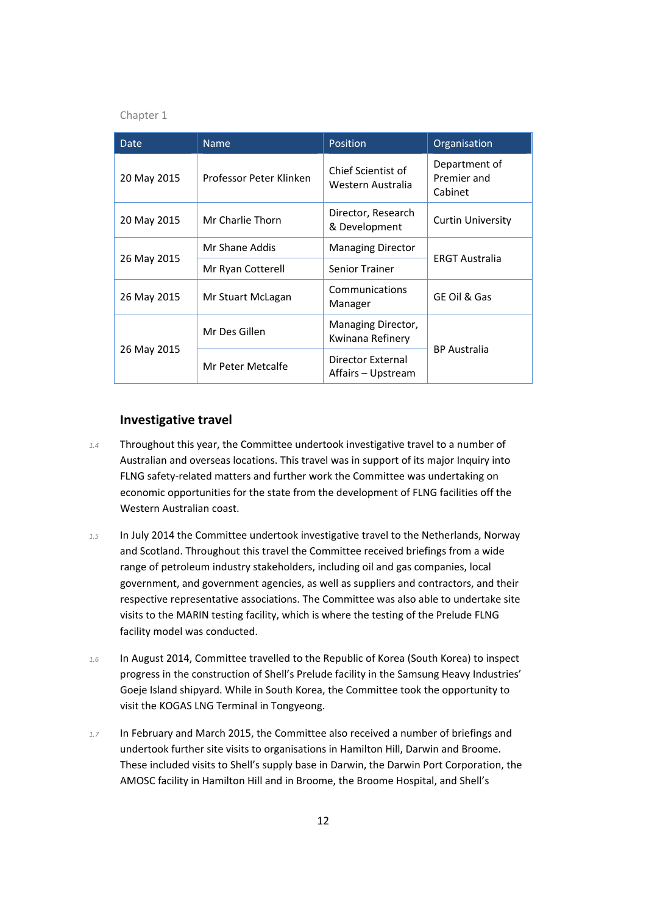| Date        | <b>Name</b>             | Position                                | Organisation                            |
|-------------|-------------------------|-----------------------------------------|-----------------------------------------|
| 20 May 2015 | Professor Peter Klinken | Chief Scientist of<br>Western Australia | Department of<br>Premier and<br>Cabinet |
| 20 May 2015 | Mr Charlie Thorn        | Director, Research<br>& Development     | <b>Curtin University</b>                |
| 26 May 2015 | Mr Shane Addis          | <b>Managing Director</b>                |                                         |
|             | Mr Ryan Cotterell       | <b>Senior Trainer</b>                   | <b>ERGT Australia</b>                   |
| 26 May 2015 | Mr Stuart McLagan       | Communications<br>Manager               | GE Oil & Gas                            |
| 26 May 2015 | Mr Des Gillen           | Managing Director,<br>Kwinana Refinery  |                                         |
|             | Mr Peter Metcalfe       | Director External<br>Affairs – Upstream | <b>BP</b> Australia                     |

#### **Investigative travel**

- *1.4* Throughout this year, the Committee undertook investigative travel to a number of Australian and overseas locations. This travel was in support of its major Inquiry into FLNG safety‐related matters and further work the Committee was undertaking on economic opportunities for the state from the development of FLNG facilities off the Western Australian coast.
- *1.5* In July 2014 the Committee undertook investigative travel to the Netherlands, Norway and Scotland. Throughout this travel the Committee received briefings from a wide range of petroleum industry stakeholders, including oil and gas companies, local government, and government agencies, as well as suppliers and contractors, and their respective representative associations. The Committee was also able to undertake site visits to the MARIN testing facility, which is where the testing of the Prelude FLNG facility model was conducted.
- *1.6* In August 2014, Committee travelled to the Republic of Korea (South Korea) to inspect progress in the construction of Shell's Prelude facility in the Samsung Heavy Industries' Goeje Island shipyard. While in South Korea, the Committee took the opportunity to visit the KOGAS LNG Terminal in Tongyeong.
- *1.7* In February and March 2015, the Committee also received a number of briefings and undertook further site visits to organisations in Hamilton Hill, Darwin and Broome. These included visits to Shell's supply base in Darwin, the Darwin Port Corporation, the AMOSC facility in Hamilton Hill and in Broome, the Broome Hospital, and Shell's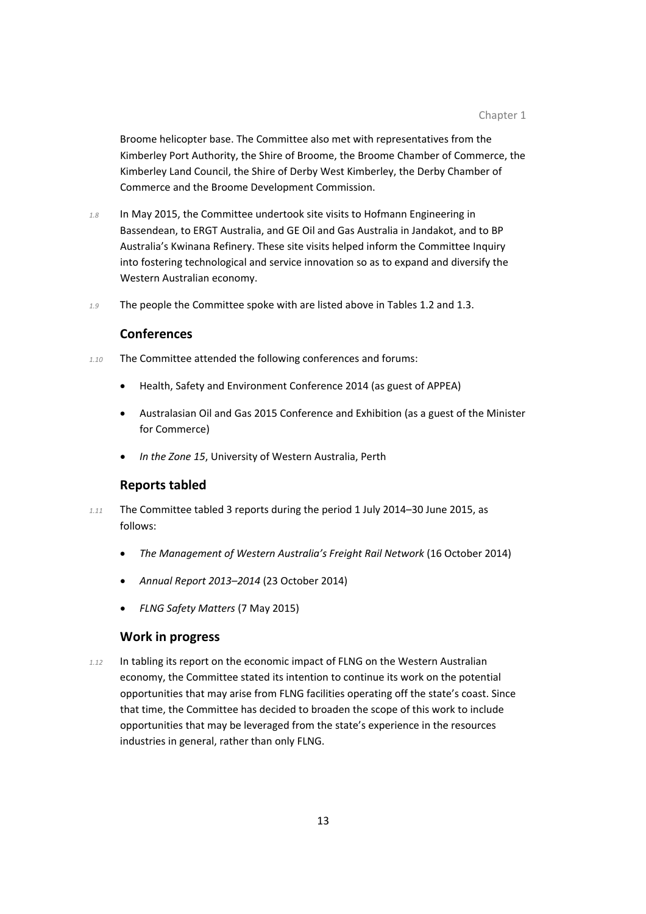Broome helicopter base. The Committee also met with representatives from the Kimberley Port Authority, the Shire of Broome, the Broome Chamber of Commerce, the Kimberley Land Council, the Shire of Derby West Kimberley, the Derby Chamber of Commerce and the Broome Development Commission.

- *1.8* In May 2015, the Committee undertook site visits to Hofmann Engineering in Bassendean, to ERGT Australia, and GE Oil and Gas Australia in Jandakot, and to BP Australia's Kwinana Refinery. These site visits helped inform the Committee Inquiry into fostering technological and service innovation so as to expand and diversify the Western Australian economy.
- *1.9* The people the Committee spoke with are listed above in Tables 1.2 and 1.3.

#### **Conferences**

- *1.10* The Committee attended the following conferences and forums:
	- Health, Safety and Environment Conference 2014 (as guest of APPEA)
	- Australasian Oil and Gas 2015 Conference and Exhibition (as a guest of the Minister for Commerce)
	- *In the Zone 15*, University of Western Australia, Perth

#### **Reports tabled**

- *1.11* The Committee tabled 3 reports during the period 1 July 2014–30 June 2015, as follows:
	- *The Management of Western Australia's Freight Rail Network* (16 October 2014)
	- *Annual Report 2013–2014* (23 October 2014)
	- *FLNG Safety Matters* (7 May 2015)

#### **Work in progress**

*1.12* In tabling its report on the economic impact of FLNG on the Western Australian economy, the Committee stated its intention to continue its work on the potential opportunities that may arise from FLNG facilities operating off the state's coast. Since that time, the Committee has decided to broaden the scope of this work to include opportunities that may be leveraged from the state's experience in the resources industries in general, rather than only FLNG.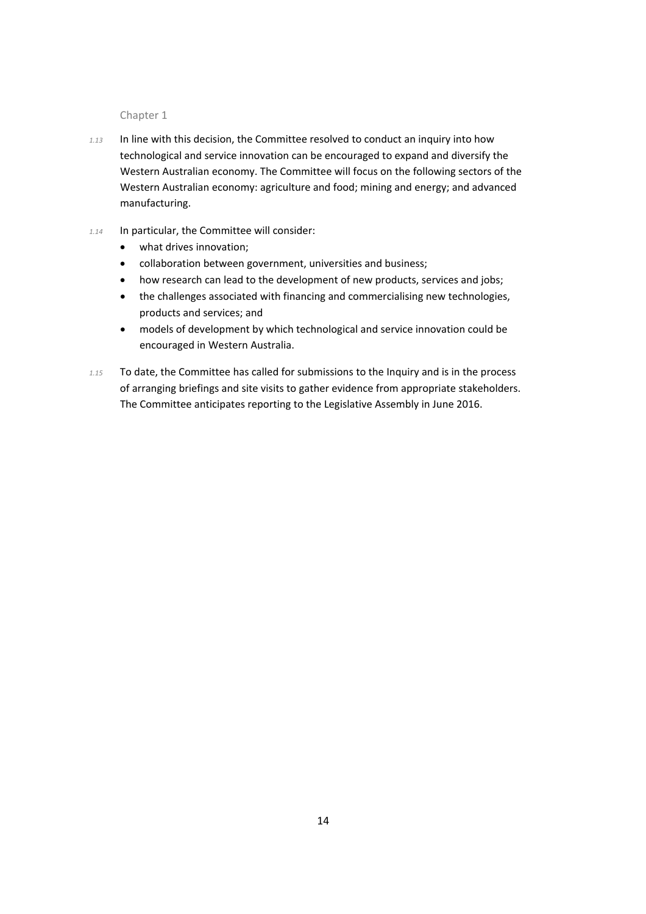- *1.13* In line with this decision, the Committee resolved to conduct an inquiry into how technological and service innovation can be encouraged to expand and diversify the Western Australian economy. The Committee will focus on the following sectors of the Western Australian economy: agriculture and food; mining and energy; and advanced manufacturing.
- *1.14* In particular, the Committee will consider:
	- what drives innovation;
	- collaboration between government, universities and business;
	- how research can lead to the development of new products, services and jobs;
	- the challenges associated with financing and commercialising new technologies, products and services; and
	- models of development by which technological and service innovation could be encouraged in Western Australia.
- *1.15* To date, the Committee has called for submissions to the Inquiry and is in the process of arranging briefings and site visits to gather evidence from appropriate stakeholders. The Committee anticipates reporting to the Legislative Assembly in June 2016.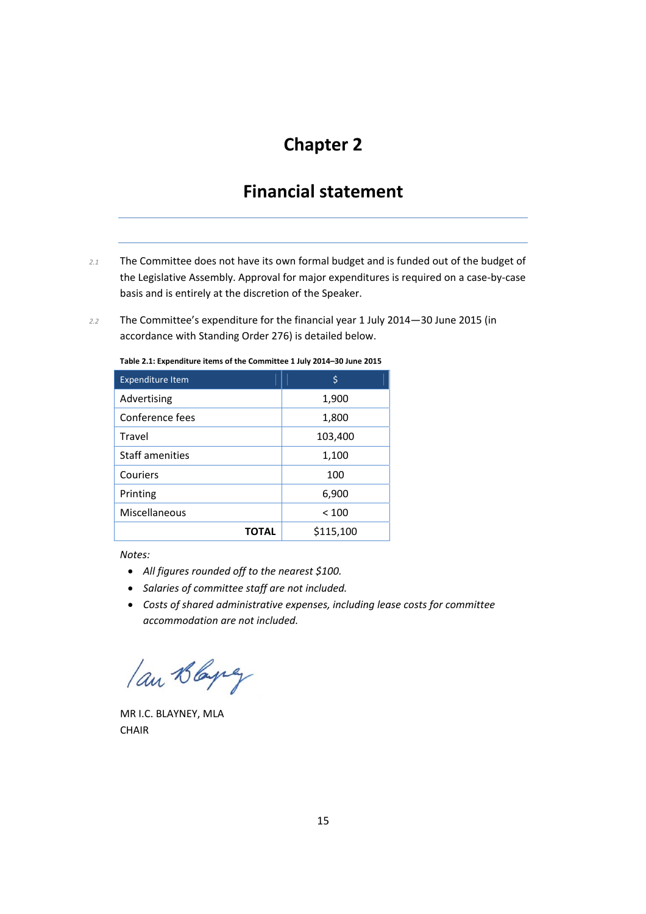### **Financial statement**

- *2.1* The Committee does not have its own formal budget and is funded out of the budget of the Legislative Assembly. Approval for major expenditures is required on a case‐by‐case basis and is entirely at the discretion of the Speaker.
- *2.2* The Committee's expenditure for the financial year 1 July 2014—30 June 2015 (in accordance with Standing Order 276) is detailed below.

| <b>Expenditure Item</b> | \$        |  |
|-------------------------|-----------|--|
| Advertising             | 1,900     |  |
| Conference fees         | 1,800     |  |
| Travel                  | 103,400   |  |
| Staff amenities         | 1,100     |  |
| Couriers                | 100       |  |
| Printing                | 6,900     |  |
| Miscellaneous           | < 100     |  |
| TOTAL                   | \$115,100 |  |

**Table 2.1: Expenditure items of the Committee 1 July 2014–30 June 2015**

*Notes:*

- *All figures rounded off to the nearest \$100.*
- *Salaries of committee staff are not included.*
- *Costs of shared administrative expenses, including lease costs for committee accommodation are not included.*

lan Blaying

MR I.C. BLAYNEY, MLA **CHAIR**